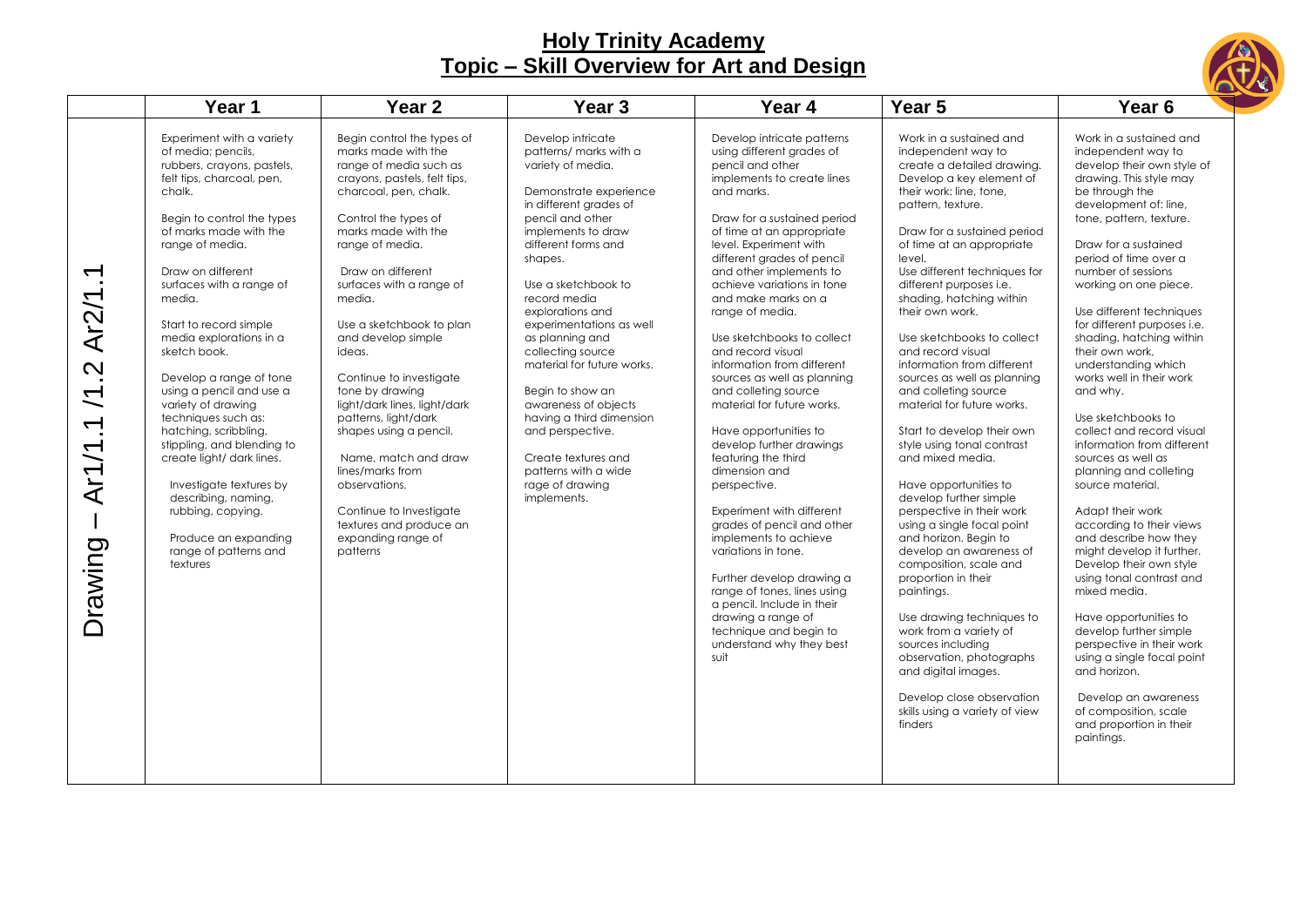

|                                                                          | Year 1                                                                                                                                                                                                                                                                                                                                                                                                                                                                                                                                                                                                                                                      | Year <sub>2</sub>                                                                                                                                                                                                                                                                                                                                                                                                                                                                                                                                                                                                  | Year <sub>3</sub>                                                                                                                                                                                                                                                                                                                                                                                                                                                                                                                          | Year 4                                                                                                                                                                                                                                                                                                                                                                                                                                                                                                                                                                                                                                                                                                                                                                                                                                                                                                                     | Year 5                                                                                                                                                                                                                                                                                                                                                                                                                                                                                                                                                                                                                                                                                                                                                                                                                                                                                                                                                                                                                                  | Year <sub>6</sub>                                                                                                                                                                                                                                                                                                                                                                                                                                                                                                                                                                                                                                                                                                                                                                                                                                                                                                                                                                                               |
|--------------------------------------------------------------------------|-------------------------------------------------------------------------------------------------------------------------------------------------------------------------------------------------------------------------------------------------------------------------------------------------------------------------------------------------------------------------------------------------------------------------------------------------------------------------------------------------------------------------------------------------------------------------------------------------------------------------------------------------------------|--------------------------------------------------------------------------------------------------------------------------------------------------------------------------------------------------------------------------------------------------------------------------------------------------------------------------------------------------------------------------------------------------------------------------------------------------------------------------------------------------------------------------------------------------------------------------------------------------------------------|--------------------------------------------------------------------------------------------------------------------------------------------------------------------------------------------------------------------------------------------------------------------------------------------------------------------------------------------------------------------------------------------------------------------------------------------------------------------------------------------------------------------------------------------|----------------------------------------------------------------------------------------------------------------------------------------------------------------------------------------------------------------------------------------------------------------------------------------------------------------------------------------------------------------------------------------------------------------------------------------------------------------------------------------------------------------------------------------------------------------------------------------------------------------------------------------------------------------------------------------------------------------------------------------------------------------------------------------------------------------------------------------------------------------------------------------------------------------------------|-----------------------------------------------------------------------------------------------------------------------------------------------------------------------------------------------------------------------------------------------------------------------------------------------------------------------------------------------------------------------------------------------------------------------------------------------------------------------------------------------------------------------------------------------------------------------------------------------------------------------------------------------------------------------------------------------------------------------------------------------------------------------------------------------------------------------------------------------------------------------------------------------------------------------------------------------------------------------------------------------------------------------------------------|-----------------------------------------------------------------------------------------------------------------------------------------------------------------------------------------------------------------------------------------------------------------------------------------------------------------------------------------------------------------------------------------------------------------------------------------------------------------------------------------------------------------------------------------------------------------------------------------------------------------------------------------------------------------------------------------------------------------------------------------------------------------------------------------------------------------------------------------------------------------------------------------------------------------------------------------------------------------------------------------------------------------|
| $\overline{\phantom{a}}$ .<br>Ar2/1<br>Ņ<br>$\sum$<br>Ar1/1.1<br>Drawing | Experiment with a variety<br>of media; pencils,<br>rubbers, crayons, pastels,<br>felt tips, charcoal, pen,<br>chalk.<br>Begin to control the types<br>of marks made with the<br>range of media.<br>Draw on different<br>surfaces with a range of<br>media.<br>Start to record simple<br>media explorations in a<br>sketch book.<br>Develop a range of tone<br>using a pencil and use a<br>variety of drawing<br>techniques such as:<br>hatching, scribbling,<br>stippling, and blending to<br>create light/ dark lines.<br>Investigate textures by<br>describing, naming,<br>rubbing, copying.<br>Produce an expanding<br>range of patterns and<br>textures | Begin control the types of<br>marks made with the<br>range of media such as<br>crayons, pastels, felt tips,<br>charcoal, pen, chalk.<br>Control the types of<br>marks made with the<br>range of media.<br>Draw on different<br>surfaces with a range of<br>media.<br>Use a sketchbook to plan<br>and develop simple<br>ideas.<br>Continue to investigate<br>tone by drawing<br>light/dark lines, light/dark<br>patterns, light/dark<br>shapes using a pencil.<br>Name, match and draw<br>lines/marks from<br>observations.<br>Continue to Investigate<br>textures and produce an<br>expanding range of<br>patterns | Develop intricate<br>patterns/ marks with a<br>variety of media.<br>Demonstrate experience<br>in different grades of<br>pencil and other<br>implements to draw<br>different forms and<br>shapes.<br>Use a sketchbook to<br>record media<br>explorations and<br>experimentations as well<br>as planning and<br>collecting source<br>material for future works.<br>Begin to show an<br>awareness of objects<br>having a third dimension<br>and perspective.<br>Create textures and<br>patterns with a wide<br>rage of drawing<br>implements. | Develop intricate patterns<br>using different grades of<br>pencil and other<br>implements to create lines<br>and marks.<br>Draw for a sustained period<br>of time at an appropriate<br>level. Experiment with<br>different grades of pencil<br>and other implements to<br>achieve variations in tone<br>and make marks on a<br>range of media.<br>Use sketchbooks to collect<br>and record visual<br>information from different<br>sources as well as planning<br>and colleting source<br>material for future works.<br>Have opportunities to<br>develop further drawings<br>featuring the third<br>dimension and<br>perspective.<br>Experiment with different<br>grades of pencil and other<br>implements to achieve<br>variations in tone.<br>Further develop drawing a<br>range of tones, lines using<br>a pencil. Include in their<br>drawing a range of<br>technique and begin to<br>understand why they best<br>suit | Work in a sustained and<br>independent way to<br>create a detailed drawing.<br>Develop a key element of<br>their work: line, tone,<br>pattern, texture.<br>Draw for a sustained period<br>of time at an appropriate<br>level.<br>Use different techniques for<br>different purposes i.e.<br>shading, hatching within<br>their own work.<br>Use sketchbooks to collect<br>and record visual<br>information from different<br>sources as well as planning<br>and colleting source<br>material for future works.<br>Start to develop their own<br>style using tonal contrast<br>and mixed media.<br>Have opportunities to<br>develop further simple<br>perspective in their work<br>using a single focal point<br>and horizon. Begin to<br>develop an awareness of<br>composition, scale and<br>proportion in their<br>paintings.<br>Use drawing techniques to<br>work from a variety of<br>sources including<br>observation, photographs<br>and digital images.<br>Develop close observation<br>skills using a variety of view<br>finders | Work in a sustained and<br>independent way to<br>develop their own style of<br>drawing. This style may<br>be through the<br>development of: line,<br>tone, pattern, texture.<br>Draw for a sustained<br>period of time over a<br>number of sessions<br>working on one piece.<br>Use different techniques<br>for different purposes i.e.<br>shading, hatching within<br>their own work,<br>understanding which<br>works well in their work<br>and why.<br>Use sketchbooks to<br>collect and record visual<br>information from different<br>sources as well as<br>planning and colleting<br>source material.<br>Adapt their work<br>according to their views<br>and describe how they<br>might develop it further.<br>Develop their own style<br>using tonal contrast and<br>mixed media.<br>Have opportunities to<br>develop further simple<br>perspective in their work<br>using a single focal point<br>and horizon.<br>Develop an awareness<br>of composition, scale<br>and proportion in their<br>paintings. |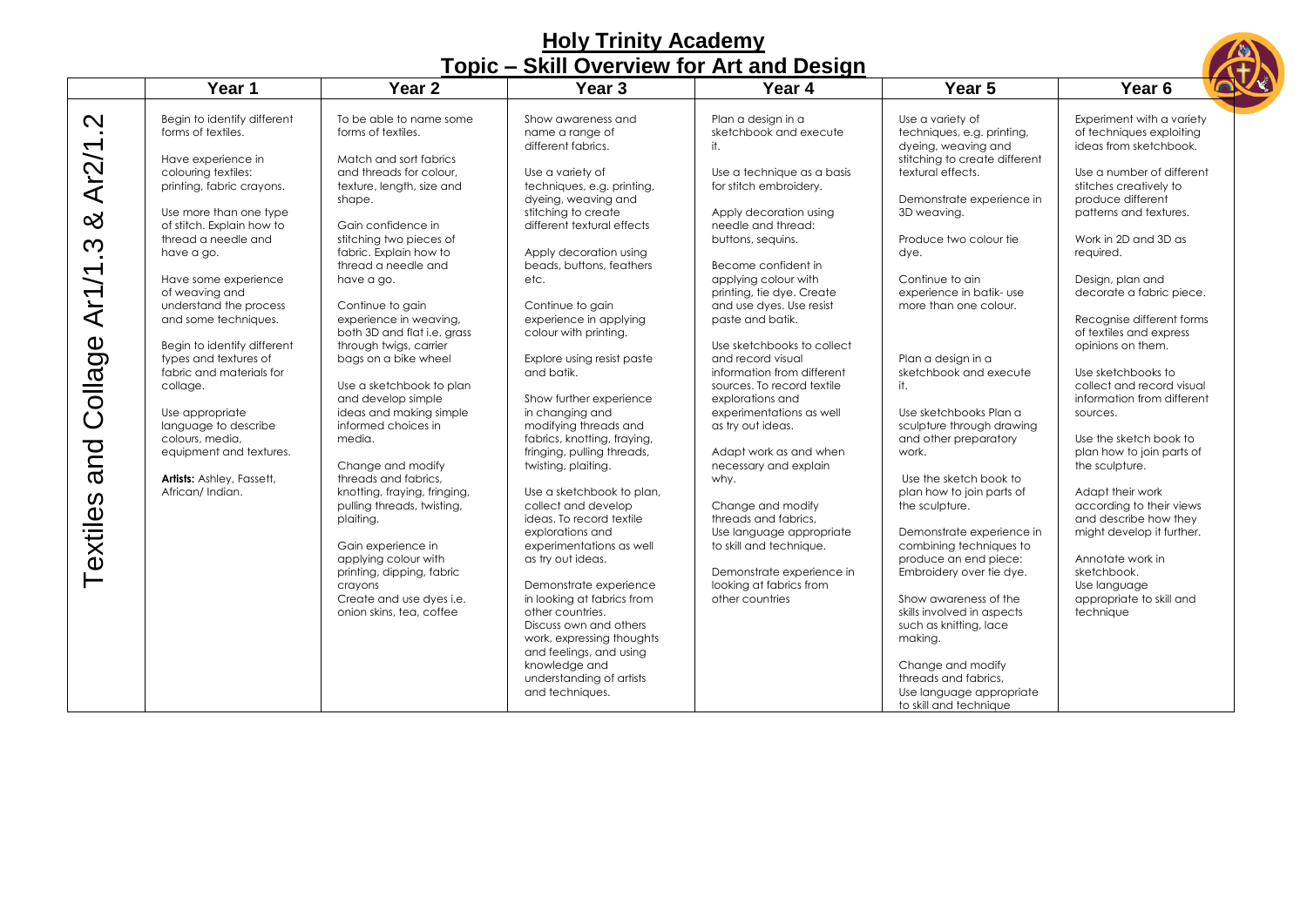| <b>HOLY LITTLEY ACAGETRY</b><br>Topic – Skill Overview for Art and Design |                                                                                                                                                                                                                                                                                                                                                                                                                                                                                                                                                              |                                                                                                                                                                                                                                                                                                                                                                                                                                                                                                                                                                                                                                                                                                                                                                              |                                                                                                                                                                                                                                                                                                                                                                                                                                                                                                                                                                                                                                                                                                                                                                                                                                                                                                                          |                                                                                                                                                                                                                                                                                                                                                                                                                                                                                                                                                                                                                                                                                                                                            |                                                                                                                                                                                                                                                                                                                                                                                                                                                                                                                                                                                                                                                                                                                                                                                                                        |                                                                                                                                                                                                                                                                                                                                                                                                                                                                                                                                                                                                                                                                                                                                 |  |  |
|---------------------------------------------------------------------------|--------------------------------------------------------------------------------------------------------------------------------------------------------------------------------------------------------------------------------------------------------------------------------------------------------------------------------------------------------------------------------------------------------------------------------------------------------------------------------------------------------------------------------------------------------------|------------------------------------------------------------------------------------------------------------------------------------------------------------------------------------------------------------------------------------------------------------------------------------------------------------------------------------------------------------------------------------------------------------------------------------------------------------------------------------------------------------------------------------------------------------------------------------------------------------------------------------------------------------------------------------------------------------------------------------------------------------------------------|--------------------------------------------------------------------------------------------------------------------------------------------------------------------------------------------------------------------------------------------------------------------------------------------------------------------------------------------------------------------------------------------------------------------------------------------------------------------------------------------------------------------------------------------------------------------------------------------------------------------------------------------------------------------------------------------------------------------------------------------------------------------------------------------------------------------------------------------------------------------------------------------------------------------------|--------------------------------------------------------------------------------------------------------------------------------------------------------------------------------------------------------------------------------------------------------------------------------------------------------------------------------------------------------------------------------------------------------------------------------------------------------------------------------------------------------------------------------------------------------------------------------------------------------------------------------------------------------------------------------------------------------------------------------------------|------------------------------------------------------------------------------------------------------------------------------------------------------------------------------------------------------------------------------------------------------------------------------------------------------------------------------------------------------------------------------------------------------------------------------------------------------------------------------------------------------------------------------------------------------------------------------------------------------------------------------------------------------------------------------------------------------------------------------------------------------------------------------------------------------------------------|---------------------------------------------------------------------------------------------------------------------------------------------------------------------------------------------------------------------------------------------------------------------------------------------------------------------------------------------------------------------------------------------------------------------------------------------------------------------------------------------------------------------------------------------------------------------------------------------------------------------------------------------------------------------------------------------------------------------------------|--|--|
|                                                                           | Year 1                                                                                                                                                                                                                                                                                                                                                                                                                                                                                                                                                       | Year <sub>2</sub>                                                                                                                                                                                                                                                                                                                                                                                                                                                                                                                                                                                                                                                                                                                                                            | Year <sub>3</sub>                                                                                                                                                                                                                                                                                                                                                                                                                                                                                                                                                                                                                                                                                                                                                                                                                                                                                                        | Year 4                                                                                                                                                                                                                                                                                                                                                                                                                                                                                                                                                                                                                                                                                                                                     | Year <sub>5</sub>                                                                                                                                                                                                                                                                                                                                                                                                                                                                                                                                                                                                                                                                                                                                                                                                      | Year <sub>6</sub>                                                                                                                                                                                                                                                                                                                                                                                                                                                                                                                                                                                                                                                                                                               |  |  |
| Ņ<br>Ar2/1<br>య<br><u>က္</u><br>Ar1/1<br>Collage<br>and<br>Textiles       | Begin to identify different<br>forms of textiles.<br>Have experience in<br>colouring textiles:<br>printing, fabric crayons.<br>Use more than one type<br>of stitch. Explain how to<br>thread a needle and<br>have a go.<br>Have some experience<br>of weaving and<br>understand the process<br>and some techniques.<br>Begin to identify different<br>types and textures of<br>fabric and materials for<br>collage.<br>Use appropriate<br>language to describe<br>colours, media,<br>equipment and textures.<br>Artists: Ashley, Fassett,<br>African/Indian. | To be able to name some<br>forms of textiles.<br>Match and sort fabrics<br>and threads for colour.<br>texture, length, size and<br>shape.<br>Gain confidence in<br>stitching two pieces of<br>fabric. Explain how to<br>thread a needle and<br>have a go.<br>Continue to gain<br>experience in weaving,<br>both 3D and flat i.e. grass<br>through twigs, carrier<br>bags on a bike wheel<br>Use a sketchbook to plan<br>and develop simple<br>ideas and making simple<br>informed choices in<br>media.<br>Change and modify<br>threads and fabrics,<br>knotting, fraying, fringing,<br>pulling threads, twisting,<br>plaiting.<br>Gain experience in<br>applying colour with<br>printing, dipping, fabric<br>cravons<br>Create and use dyes i.e.<br>onion skins, tea, coffee | Show awareness and<br>name a range of<br>different fabrics.<br>Use a variety of<br>techniques, e.g. printing,<br>dyeing, weaving and<br>stitching to create<br>different textural effects<br>Apply decoration using<br>beads, buttons, feathers<br>etc.<br>Continue to gain<br>experience in applying<br>colour with printing.<br>Explore using resist paste<br>and batik.<br>Show further experience<br>in changing and<br>modifying threads and<br>fabrics, knotting, fraying,<br>fringing, pulling threads,<br>twisting, plaiting.<br>Use a sketchbook to plan,<br>collect and develop<br>ideas. To record textile<br>explorations and<br>experimentations as well<br>as try out ideas.<br>Demonstrate experience<br>in looking at fabrics from<br>other countries.<br>Discuss own and others<br>work, expressing thoughts<br>and feelings, and using<br>knowledge and<br>understanding of artists<br>and techniques. | Plan a desian in a<br>sketchbook and execute<br>it.<br>Use a technique as a basis<br>for stitch embroidery.<br>Apply decoration using<br>needle and thread:<br>buttons, sequins.<br>Become confident in<br>applying colour with<br>printing, tie dye. Create<br>and use dyes. Use resist<br>paste and batik.<br>Use sketchbooks to collect<br>and record visual<br>information from different<br>sources. To record textile<br>explorations and<br>experimentations as well<br>as try out ideas.<br>Adapt work as and when<br>necessary and explain<br>why.<br>Change and modify<br>threads and fabrics.<br>Use language appropriate<br>to skill and technique.<br>Demonstrate experience in<br>looking at fabrics from<br>other countries | Use a variety of<br>techniques, e.g. printing,<br>dyeing, weaving and<br>stitching to create different<br>textural effects.<br>Demonstrate experience in<br>3D weaving.<br>Produce two colour tie<br>dye.<br>Continue to ain<br>experience in batik- use<br>more than one colour.<br>Plan a design in a<br>sketchbook and execute<br>it.<br>Use sketchbooks Plan a<br>sculpture through drawing<br>and other preparatory<br>work.<br>Use the sketch book to<br>plan how to join parts of<br>the sculpture.<br>Demonstrate experience in<br>combining techniques to<br>produce an end piece:<br>Embroidery over tie dye.<br>Show awareness of the<br>skills involved in aspects<br>such as knitting, lace<br>making.<br>Change and modify<br>threads and fabrics,<br>Use language appropriate<br>to skill and technique | Experiment with a variety<br>of techniques exploiting<br>ideas from sketchbook.<br>Use a number of different<br>stitches creatively to<br>produce different<br>patterns and textures.<br>Work in 2D and 3D as<br>reauired.<br>Design, plan and<br>decorate a fabric piece.<br>Recognise different forms<br>of textiles and express<br>opinions on them.<br>Use sketchbooks to<br>collect and record visual<br>information from different<br>sources.<br>Use the sketch book to<br>plan how to join parts of<br>the sculpture.<br>Adapt their work<br>according to their views<br>and describe how they<br>might develop it further.<br>Annotate work in<br>sketchbook.<br>Use language<br>appropriate to skill and<br>technique |  |  |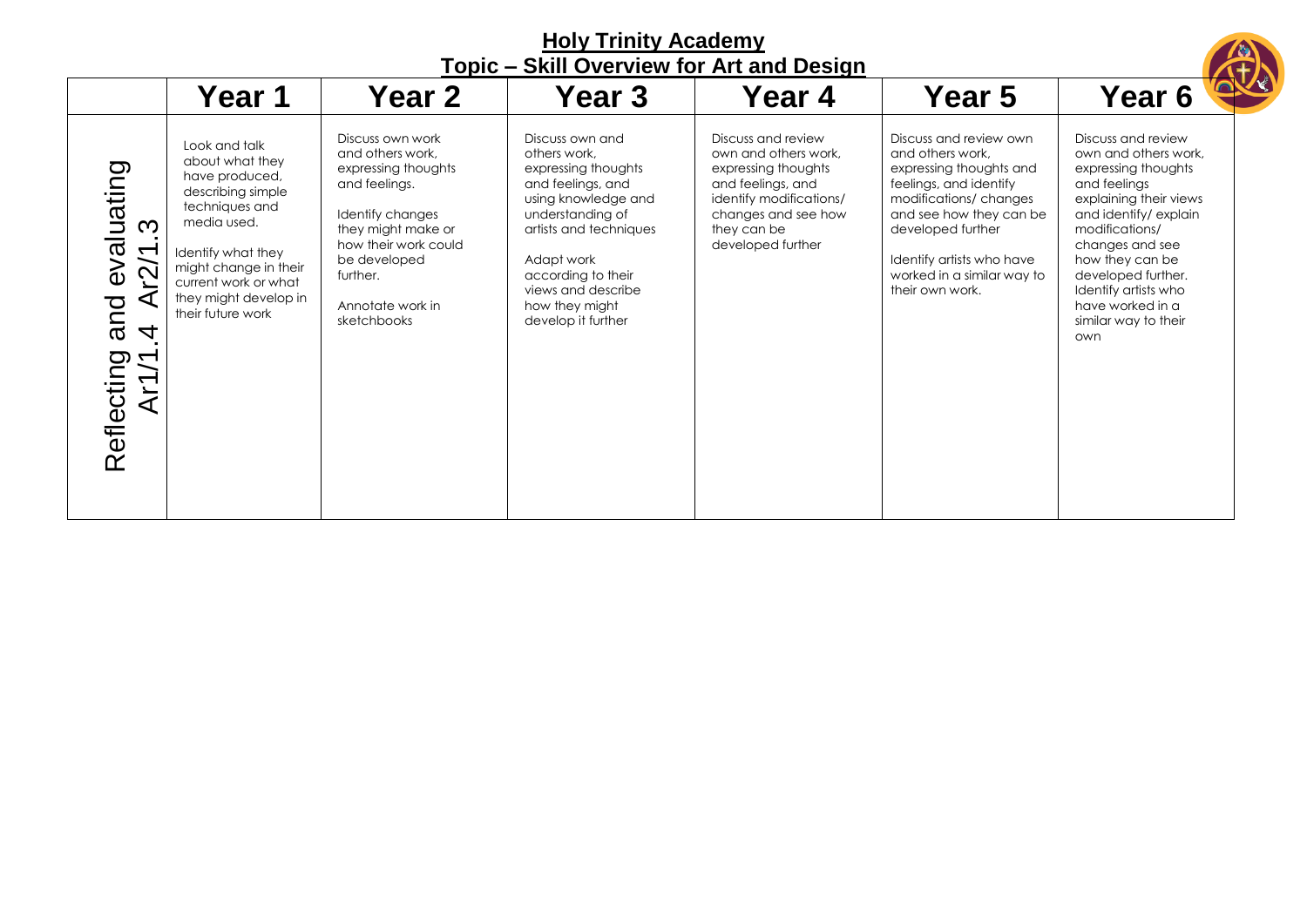|                                                                                                                   |                                                                                                                                                                                                                               |                                                                                                                                                                                                               |                                                                                                                                                                                                                                                    | TODIC – SKIII OVERVIEW TOF ALL AND DESIGN                                                                                                                                    |                                                                                                                                                                                                                                                        |                                                                                                                                                                                                                                                                                              |
|-------------------------------------------------------------------------------------------------------------------|-------------------------------------------------------------------------------------------------------------------------------------------------------------------------------------------------------------------------------|---------------------------------------------------------------------------------------------------------------------------------------------------------------------------------------------------------------|----------------------------------------------------------------------------------------------------------------------------------------------------------------------------------------------------------------------------------------------------|------------------------------------------------------------------------------------------------------------------------------------------------------------------------------|--------------------------------------------------------------------------------------------------------------------------------------------------------------------------------------------------------------------------------------------------------|----------------------------------------------------------------------------------------------------------------------------------------------------------------------------------------------------------------------------------------------------------------------------------------------|
|                                                                                                                   | Year 1                                                                                                                                                                                                                        | Year 2                                                                                                                                                                                                        | Year 3                                                                                                                                                                                                                                             | Year 4                                                                                                                                                                       | Year 5                                                                                                                                                                                                                                                 | <b>Year 6</b>                                                                                                                                                                                                                                                                                |
| valuating<br>S<br>r2/1<br>$\omega$<br>⋖<br>and<br>$\overline{\mathcal{A}}$<br>Reflecting<br>$\mathcal{L}$<br>Ar1, | Look and talk<br>about what they<br>have produced,<br>describing simple<br>techniques and<br>media used.<br>Identify what they<br>might change in their<br>current work or what<br>they might develop in<br>their future work | Discuss own work<br>and others work,<br>expressing thoughts<br>and feelings.<br>Identify changes<br>they might make or<br>how their work could<br>be developed<br>further.<br>Annotate work in<br>sketchbooks | Discuss own and<br>others work,<br>expressing thoughts<br>and feelings, and<br>using knowledge and<br>understanding of<br>artists and techniques<br>Adapt work<br>according to their<br>views and describe<br>how they might<br>develop it further | Discuss and review<br>own and others work.<br>expressing thoughts<br>and feelings, and<br>identify modifications/<br>changes and see how<br>they can be<br>developed further | Discuss and review own<br>and others work.<br>expressing thoughts and<br>feelings, and identify<br>modifications/changes<br>and see how they can be<br>developed further<br>Identify artists who have<br>worked in a similar way to<br>their own work. | Discuss and review<br>own and others work.<br>expressing thoughts<br>and feelings<br>explaining their views<br>and identify/explain<br>modifications/<br>changes and see<br>how they can be<br>developed further.<br>Identify artists who<br>have worked in a<br>similar way to their<br>own |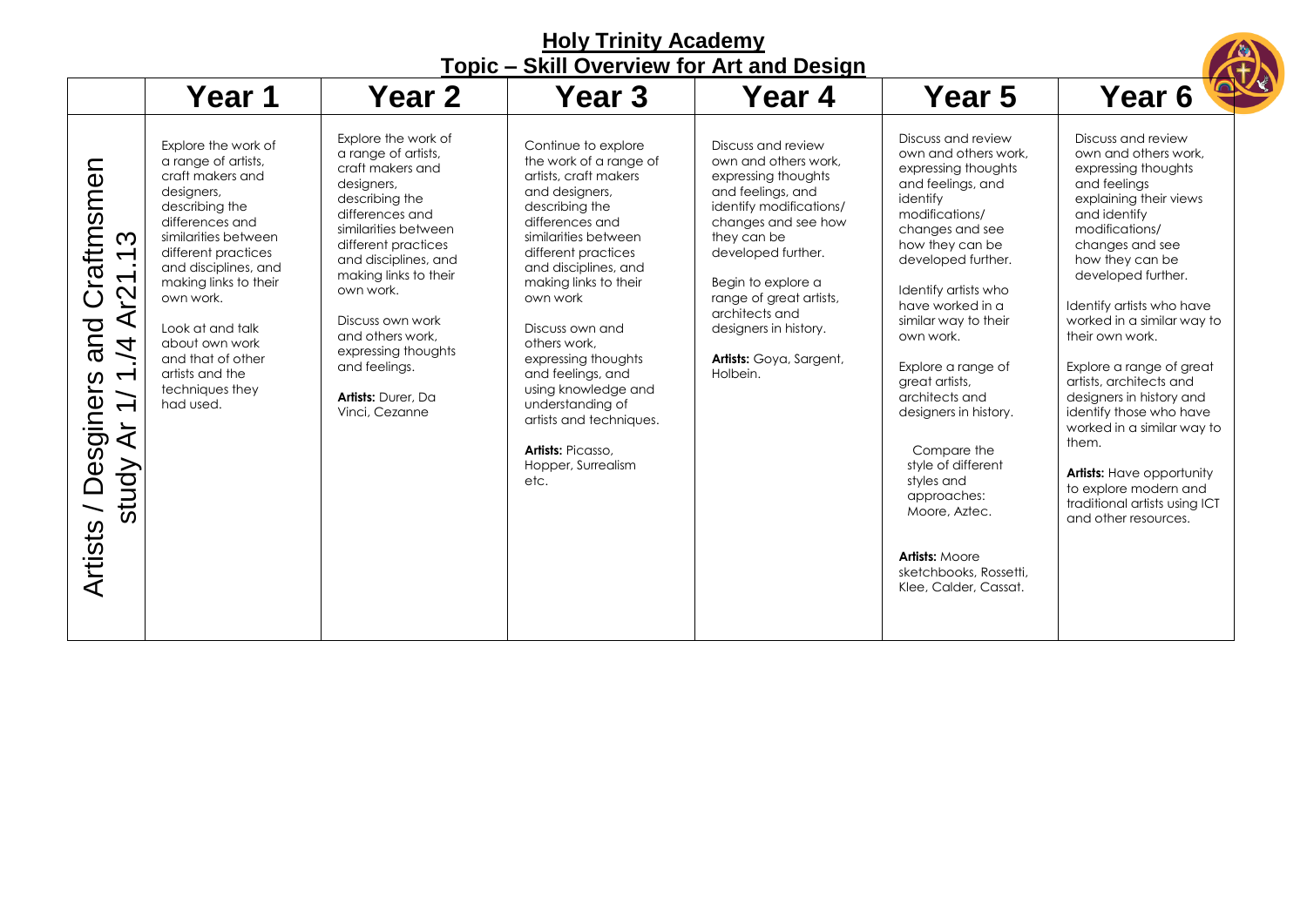| <b>Holy Trinity Academy</b><br><b>Topic - Skill Overview for Art and Design</b>                                                                                                                  |                                                                                                                                                                                                                                                                                                                                              |                                                                                                                                                                                                                                                                                                                                                                |                                                                                                                                                                                                                                                                                                                                                                                                                                                   |                                                                                                                                                                                                                                                                                                                  |                                                                                                                                                                                                                                                                                                                                                                                                                                                                                                                     |                                                                                                                                                                                                                                                                                                                                                                                                                                                                                                                                                                    |  |  |
|--------------------------------------------------------------------------------------------------------------------------------------------------------------------------------------------------|----------------------------------------------------------------------------------------------------------------------------------------------------------------------------------------------------------------------------------------------------------------------------------------------------------------------------------------------|----------------------------------------------------------------------------------------------------------------------------------------------------------------------------------------------------------------------------------------------------------------------------------------------------------------------------------------------------------------|---------------------------------------------------------------------------------------------------------------------------------------------------------------------------------------------------------------------------------------------------------------------------------------------------------------------------------------------------------------------------------------------------------------------------------------------------|------------------------------------------------------------------------------------------------------------------------------------------------------------------------------------------------------------------------------------------------------------------------------------------------------------------|---------------------------------------------------------------------------------------------------------------------------------------------------------------------------------------------------------------------------------------------------------------------------------------------------------------------------------------------------------------------------------------------------------------------------------------------------------------------------------------------------------------------|--------------------------------------------------------------------------------------------------------------------------------------------------------------------------------------------------------------------------------------------------------------------------------------------------------------------------------------------------------------------------------------------------------------------------------------------------------------------------------------------------------------------------------------------------------------------|--|--|
|                                                                                                                                                                                                  | Year 1                                                                                                                                                                                                                                                                                                                                       | <b>Year 2</b>                                                                                                                                                                                                                                                                                                                                                  | Year 3                                                                                                                                                                                                                                                                                                                                                                                                                                            | Year 4                                                                                                                                                                                                                                                                                                           | Year 5                                                                                                                                                                                                                                                                                                                                                                                                                                                                                                              | Year 6                                                                                                                                                                                                                                                                                                                                                                                                                                                                                                                                                             |  |  |
| Craftmsmen<br>S<br>$\leftarrow$<br>Ar2<br>and<br>$\vec{z}$<br>$\overline{\phantom{0}}$<br>Artists / Desginers<br>$\overline{\phantom{0}}$<br>$\overline{ }$<br>$\overline{\mathcal{A}}$<br>study | Explore the work of<br>a range of artists,<br>craft makers and<br>designers,<br>describing the<br>differences and<br>similarities between<br>different practices<br>and disciplines, and<br>making links to their<br>own work.<br>Look at and talk<br>about own work<br>and that of other<br>artists and the<br>techniques they<br>had used. | Explore the work of<br>a range of artists,<br>craft makers and<br>designers,<br>describing the<br>differences and<br>similarities between<br>different practices<br>and disciplines, and<br>making links to their<br>own work.<br>Discuss own work<br>and others work,<br>expressing thoughts<br>and feelings.<br><b>Artists: Durer, Da.</b><br>Vinci, Cezanne | Continue to explore<br>the work of a range of<br>artists, craft makers<br>and designers,<br>describing the<br>differences and<br>similarities between<br>different practices<br>and disciplines, and<br>making links to their<br>own work<br>Discuss own and<br>others work.<br>expressing thoughts<br>and feelings, and<br>using knowledge and<br>understanding of<br>artists and techniques.<br>Artists: Picasso.<br>Hopper, Surrealism<br>etc. | Discuss and review<br>own and others work,<br>expressing thoughts<br>and feelings, and<br>identify modifications/<br>changes and see how<br>they can be<br>developed further.<br>Begin to explore a<br>range of great artists,<br>architects and<br>designers in history.<br>Artists: Goya, Sargent,<br>Holbein. | Discuss and review<br>own and others work,<br>expressing thoughts<br>and feelings, and<br>identify<br>modifications/<br>changes and see<br>how they can be<br>developed further.<br>Identify artists who<br>have worked in a<br>similar way to their<br>own work.<br>Explore a range of<br>great artists,<br>architects and<br>designers in history.<br>Compare the<br>style of different<br>styles and<br>approaches:<br>Moore, Aztec.<br><b>Artists: Moore</b><br>sketchbooks, Rossetti,<br>Klee, Calder, Cassat. | Discuss and review<br>own and others work,<br>expressing thoughts<br>and feelings<br>explaining their views<br>and identify<br>modifications/<br>changes and see<br>how they can be<br>developed further.<br>Identify artists who have<br>worked in a similar way to<br>their own work.<br>Explore a range of great<br>artists, architects and<br>designers in history and<br>identify those who have<br>worked in a similar way to<br>them.<br><b>Artists:</b> Have opportunity<br>to explore modern and<br>traditional artists using ICT<br>and other resources. |  |  |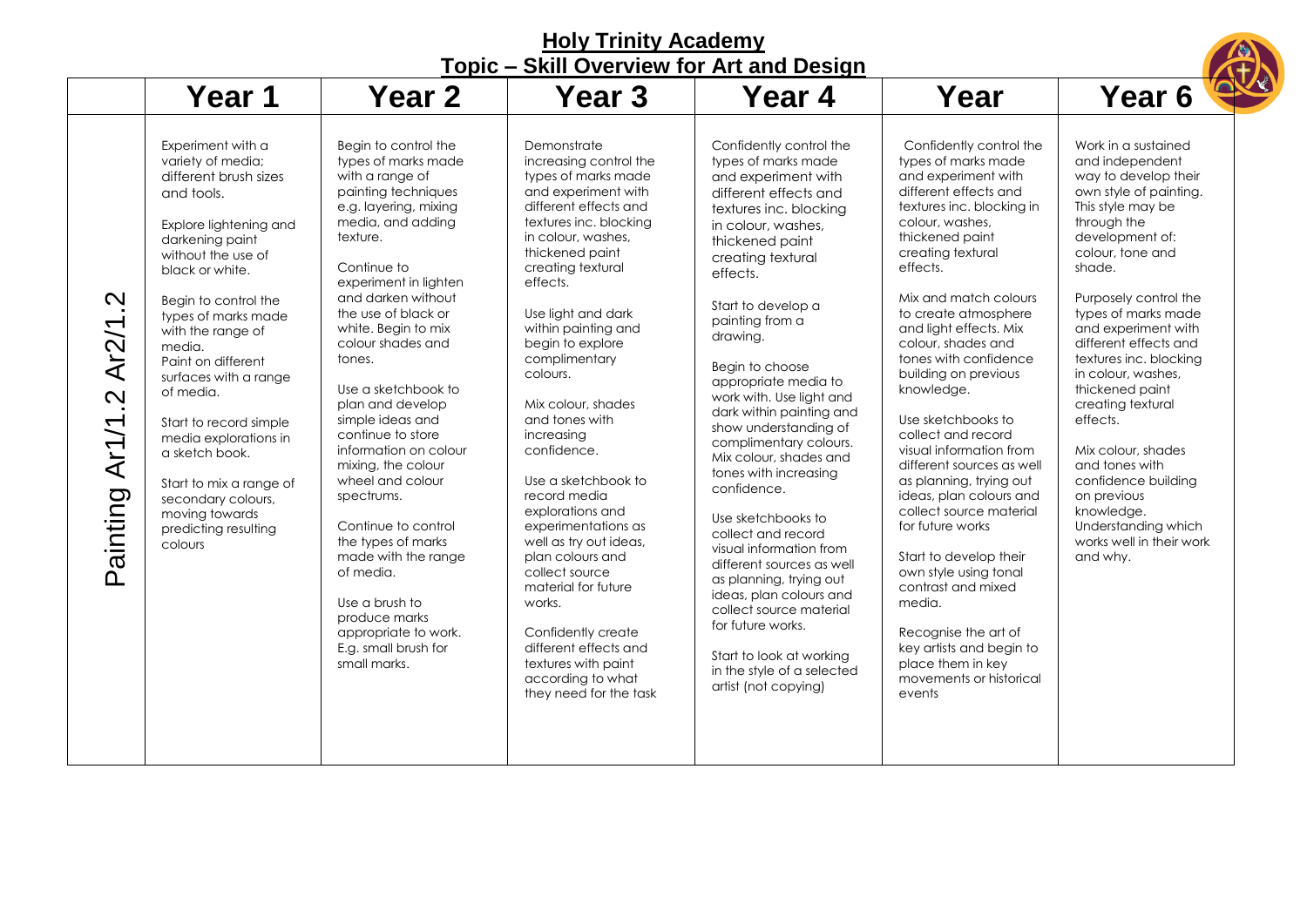| <b>Topic - Skill Overview for Art and Design</b>                                                                                                                                                                                                                                                                                                                                                                                                                                                                                                                 |                                                                                                                                                                                                                                                                                                                                                                                                                                                                                                                                                                                                                                                     |                                                                                                                                                                                                                                                                                                                                                                                                                                                                                                                                                                                                                                                                                             |                                                                                                                                                                                                                                                                                                                                                                                                                                                                                                                                                                                                                                                                                                                                                                             |                                                                                                                                                                                                                                                                                                                                                                                                                                                                                                                                                                                                                                                                                                                                                                              |                                                                                                                                                                                                                                                                                                                                                                                                                                                                                                                                              |  |  |
|------------------------------------------------------------------------------------------------------------------------------------------------------------------------------------------------------------------------------------------------------------------------------------------------------------------------------------------------------------------------------------------------------------------------------------------------------------------------------------------------------------------------------------------------------------------|-----------------------------------------------------------------------------------------------------------------------------------------------------------------------------------------------------------------------------------------------------------------------------------------------------------------------------------------------------------------------------------------------------------------------------------------------------------------------------------------------------------------------------------------------------------------------------------------------------------------------------------------------------|---------------------------------------------------------------------------------------------------------------------------------------------------------------------------------------------------------------------------------------------------------------------------------------------------------------------------------------------------------------------------------------------------------------------------------------------------------------------------------------------------------------------------------------------------------------------------------------------------------------------------------------------------------------------------------------------|-----------------------------------------------------------------------------------------------------------------------------------------------------------------------------------------------------------------------------------------------------------------------------------------------------------------------------------------------------------------------------------------------------------------------------------------------------------------------------------------------------------------------------------------------------------------------------------------------------------------------------------------------------------------------------------------------------------------------------------------------------------------------------|------------------------------------------------------------------------------------------------------------------------------------------------------------------------------------------------------------------------------------------------------------------------------------------------------------------------------------------------------------------------------------------------------------------------------------------------------------------------------------------------------------------------------------------------------------------------------------------------------------------------------------------------------------------------------------------------------------------------------------------------------------------------------|----------------------------------------------------------------------------------------------------------------------------------------------------------------------------------------------------------------------------------------------------------------------------------------------------------------------------------------------------------------------------------------------------------------------------------------------------------------------------------------------------------------------------------------------|--|--|
| Year 1                                                                                                                                                                                                                                                                                                                                                                                                                                                                                                                                                           | Year 2                                                                                                                                                                                                                                                                                                                                                                                                                                                                                                                                                                                                                                              | Year 3                                                                                                                                                                                                                                                                                                                                                                                                                                                                                                                                                                                                                                                                                      | Year 4                                                                                                                                                                                                                                                                                                                                                                                                                                                                                                                                                                                                                                                                                                                                                                      | Year                                                                                                                                                                                                                                                                                                                                                                                                                                                                                                                                                                                                                                                                                                                                                                         | Year 6                                                                                                                                                                                                                                                                                                                                                                                                                                                                                                                                       |  |  |
| Experiment with a<br>variety of media;<br>different brush sizes<br>and tools.<br>Explore lightening and<br>darkening paint<br>without the use of<br>black or white.<br>$\mathbf{\Omega}$<br>Begin to control the<br>types of marks made<br>Ar2/1<br>with the range of<br>media.<br>Paint on different<br>surfaces with a range<br>of media.<br>$\mathbf{\Omega}$<br>Ar1/1<br>Start to record simple<br>media explorations in<br>a sketch book.<br>Start to mix a range of<br>Painting<br>secondary colours,<br>moving towards<br>predicting resulting<br>colours | Begin to control the<br>types of marks made<br>with a range of<br>painting techniques<br>e.g. layering, mixing<br>media, and adding<br>texture.<br>Continue to<br>experiment in lighten<br>and darken without<br>the use of black or<br>white. Begin to mix<br>colour shades and<br>tones.<br>Use a sketchbook to<br>plan and develop<br>simple ideas and<br>continue to store<br>information on colour<br>mixing, the colour<br>wheel and colour<br>spectrums.<br>Continue to control<br>the types of marks<br>made with the range<br>of media.<br>Use a brush to<br>produce marks<br>appropriate to work.<br>E.g. small brush for<br>small marks. | Demonstrate<br>increasing control the<br>types of marks made<br>and experiment with<br>different effects and<br>textures inc. blocking<br>in colour, washes,<br>thickened paint<br>creating textural<br>effects.<br>Use light and dark<br>within painting and<br>begin to explore<br>complimentary<br>colours.<br>Mix colour, shades<br>and tones with<br>increasing<br>confidence.<br>Use a sketchbook to<br>record media<br>explorations and<br>experimentations as<br>well as try out ideas,<br>plan colours and<br>collect source<br>material for future<br>works.<br>Confidently create<br>different effects and<br>textures with paint<br>according to what<br>they need for the task | Confidently control the<br>types of marks made<br>and experiment with<br>different effects and<br>textures inc. blocking<br>in colour, washes,<br>thickened paint<br>creating textural<br>effects.<br>Start to develop a<br>painting from a<br>drawing.<br>Begin to choose<br>appropriate media to<br>work with. Use light and<br>dark within painting and<br>show understanding of<br>complimentary colours.<br>Mix colour, shades and<br>tones with increasing<br>confidence.<br>Use sketchbooks to<br>collect and record<br>visual information from<br>different sources as well<br>as planning, trying out<br>ideas, plan colours and<br>collect source material<br>for future works.<br>Start to look at working<br>in the style of a selected<br>artist (not copying) | Confidently control the<br>types of marks made<br>and experiment with<br>different effects and<br>textures inc. blocking in<br>colour, washes,<br>thickened paint<br>creating textural<br>effects.<br>Mix and match colours<br>to create atmosphere<br>and light effects. Mix<br>colour, shades and<br>tones with confidence<br>building on previous<br>knowledge.<br>Use sketchbooks to<br>collect and record<br>visual information from<br>different sources as well<br>as planning, trying out<br>ideas, plan colours and<br>collect source material<br>for future works<br>Start to develop their<br>own style using tonal<br>contrast and mixed<br>media.<br>Recognise the art of<br>key artists and begin to<br>place them in key<br>movements or historical<br>events | Work in a sustained<br>and independent<br>way to develop their<br>own style of painting.<br>This style may be<br>through the<br>development of:<br>colour, tone and<br>shade.<br>Purposely control the<br>types of marks made<br>and experiment with<br>different effects and<br>textures inc. blocking<br>in colour, washes,<br>thickened paint<br>creating textural<br>effects.<br>Mix colour, shades<br>and tones with<br>confidence building<br>on previous<br>knowledge.<br>Understanding which<br>works well in their work<br>and why. |  |  |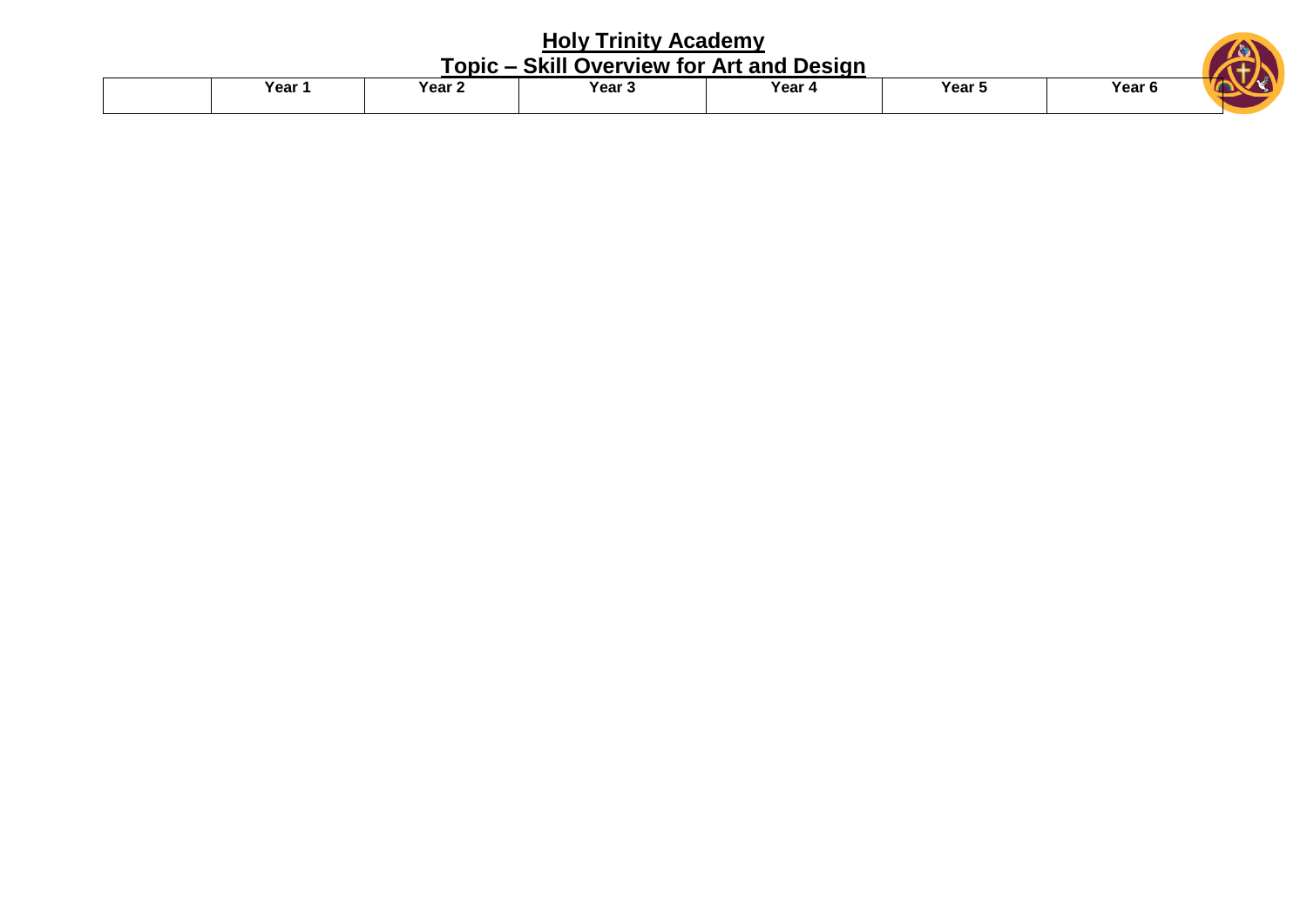| <b>Holy Trinity Academy</b> |        |        |                                           |                   |  |  |  |  |  |
|-----------------------------|--------|--------|-------------------------------------------|-------------------|--|--|--|--|--|
|                             |        |        |                                           |                   |  |  |  |  |  |
| Year 2                      | Year 3 | Year 4 | Year 5                                    | Year <sub>6</sub> |  |  |  |  |  |
|                             | Year 1 |        | Topic – Skill Overview for Art and Design |                   |  |  |  |  |  |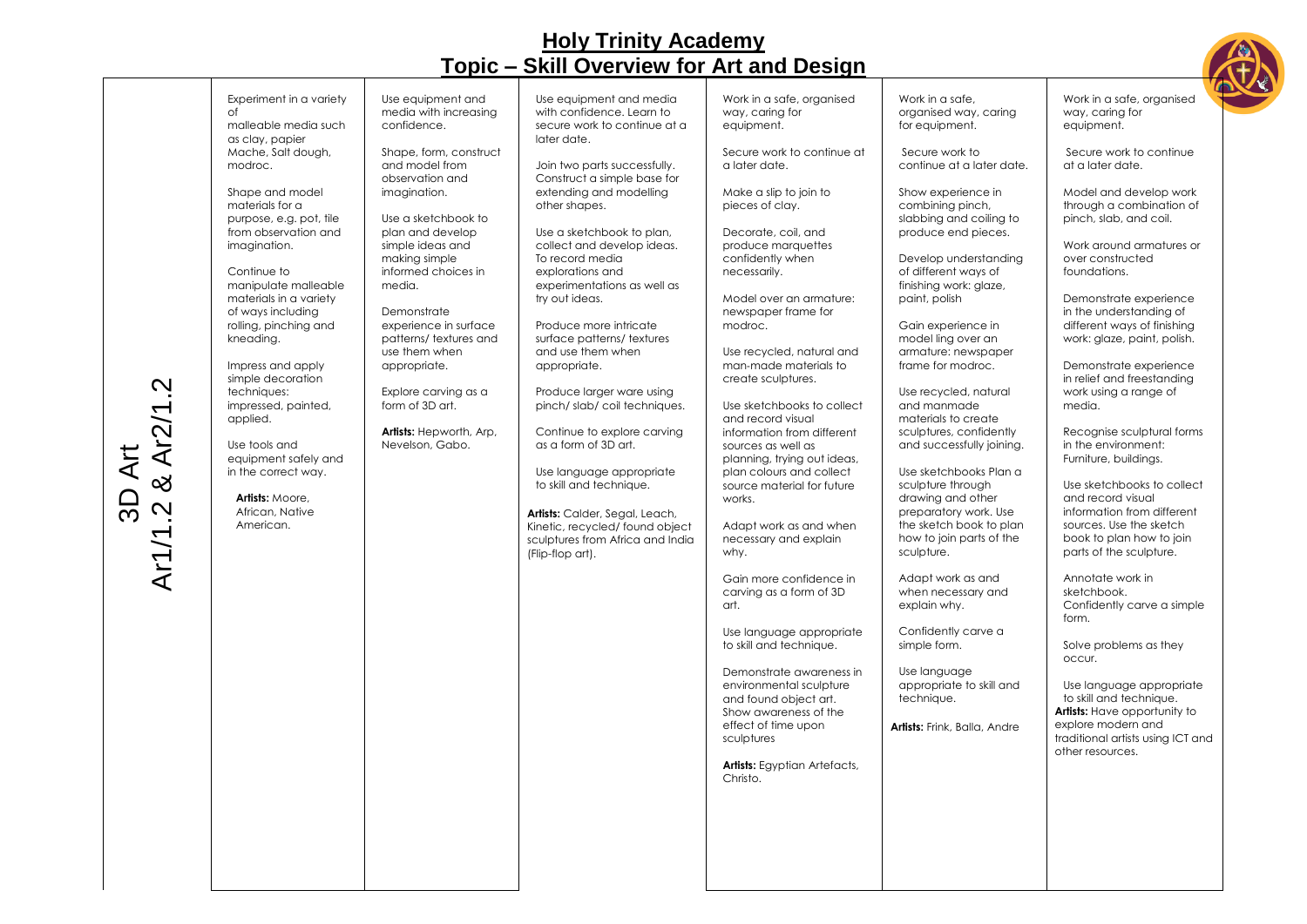

| 3D Art<br>Ar1/1.2 & Ar2/1.2 | Experiment in a variety<br>of<br>malleable media such<br>as clay, papier<br>Mache, Salt dough,<br>modroc.<br>Shape and model<br>materials for a<br>purpose, e.g. pot, tile<br>from observation and<br>imagination.<br>Continue to<br>manipulate malleable<br>materials in a variety<br>of ways including<br>rolling, pinching and<br>kneading.<br>Impress and apply<br>simple decoration<br>techniques:<br>impressed, painted,<br>applied.<br>Use tools and<br>equipment safely and<br>in the correct way.<br>Artists: Moore,<br>African, Native<br>American. | Use equipment and<br>media with increasing<br>confidence.<br>Shape, form, construct<br>and model from<br>observation and<br>imagination.<br>Use a sketchbook to<br>plan and develop<br>simple ideas and<br>making simple<br>informed choices in<br>media.<br>Demonstrate<br>experience in surface<br>patterns/textures and<br>use them when<br>appropriate.<br>Explore carving as a<br>form of 3D art.<br>Artists: Hepworth, Arp,<br>Nevelson, Gabo. | Use equipment and media<br>with confidence. Learn to<br>secure work to continue at a<br>later date.<br>Join two parts successfully.<br>Construct a simple base for<br>extending and modelling<br>other shapes.<br>Use a sketchbook to plan,<br>collect and develop ideas.<br>To record media<br>explorations and<br>experimentations as well as<br>try out ideas.<br>Produce more intricate<br>surface patterns/textures<br>and use them when<br>appropriate.<br>Produce larger ware using<br>pinch/slab/coil techniques.<br>Continue to explore carving<br>as a form of 3D art.<br>Use language appropriate<br>to skill and technique.<br>Artists: Calder, Segal, Leach,<br>Kinetic, recycled/ found object<br>sculptures from Africa and India<br>(Flip-flop art). | Work in a safe, organised<br>way, caring for<br>equipment.<br>Secure work to continue at<br>a later date.<br>Make a slip to join to<br>pieces of clay.<br>Decorate, coil, and<br>produce marquettes<br>confidently when<br>necessarily.<br>Model over an armature:<br>newspaper frame for<br>modroc.<br>Use recycled, natural and<br>man-made materials to<br>create sculptures.<br>Use sketchbooks to collect<br>and record visual<br>information from different<br>sources as well as<br>planning, trying out ideas,<br>plan colours and collect<br>source material for future<br>works.<br>Adapt work as and when<br>necessary and explain<br>why.<br>Gain more confidence in<br>carving as a form of 3D<br>art.<br>Use language appropriate<br>to skill and technique.<br>Demonstrate awareness in<br>environmental sculpture<br>and found object art.<br>Show awareness of the<br>effect of time upon<br>sculptures<br><b>Artists:</b> Egyptian Artefacts,<br>Christo. | Work in a safe,<br>organised way, caring<br>for equipment.<br>Secure work to<br>continue at a later date.<br>Show experience in<br>combining pinch,<br>slabbing and coiling to<br>produce end pieces.<br>Develop understanding<br>of different ways of<br>finishing work: glaze,<br>paint, polish<br>Gain experience in<br>model ling over an<br>armature: newspaper<br>frame for modroc.<br>Use recycled, natural<br>and manmade<br>materials to create<br>sculptures, confidently<br>and successfully joining.<br>Use sketchbooks Plan a<br>sculpture through<br>drawing and other<br>preparatory work. Use<br>the sketch book to plan<br>how to join parts of the<br>sculpture.<br>Adapt work as and<br>when necessary and<br>explain why.<br>Confidently carve a<br>simple form.<br>Use language<br>appropriate to skill and<br>technique.<br>Artists: Frink, Balla, Andre | Work in a safe, organised<br>way, caring for<br>equipment.<br>Secure work to continue<br>at a later date.<br>Model and develop work<br>through a combination of<br>pinch, slab, and coil.<br>Work around armatures or<br>over constructed<br>foundations.<br>Demonstrate experience<br>in the understanding of<br>different ways of finishing<br>work: glaze, paint, polish.<br>Demonstrate experience<br>in relief and freestanding<br>work using a range of<br>media.<br>Recognise sculptural forms<br>in the environment:<br>Furniture, buildings.<br>Use sketchbooks to collect<br>and record visual<br>information from different<br>sources. Use the sketch<br>book to plan how to join<br>parts of the sculpture.<br>Annotate work in<br>sketchbook.<br>Confidently carve a simple<br>form.<br>Solve problems as they<br>occur.<br>Use language appropriate<br>to skill and technique.<br>Artists: Have opportunity to<br>explore modern and<br>traditional artists using ICT and<br>other resources. |
|-----------------------------|---------------------------------------------------------------------------------------------------------------------------------------------------------------------------------------------------------------------------------------------------------------------------------------------------------------------------------------------------------------------------------------------------------------------------------------------------------------------------------------------------------------------------------------------------------------|------------------------------------------------------------------------------------------------------------------------------------------------------------------------------------------------------------------------------------------------------------------------------------------------------------------------------------------------------------------------------------------------------------------------------------------------------|----------------------------------------------------------------------------------------------------------------------------------------------------------------------------------------------------------------------------------------------------------------------------------------------------------------------------------------------------------------------------------------------------------------------------------------------------------------------------------------------------------------------------------------------------------------------------------------------------------------------------------------------------------------------------------------------------------------------------------------------------------------------|-----------------------------------------------------------------------------------------------------------------------------------------------------------------------------------------------------------------------------------------------------------------------------------------------------------------------------------------------------------------------------------------------------------------------------------------------------------------------------------------------------------------------------------------------------------------------------------------------------------------------------------------------------------------------------------------------------------------------------------------------------------------------------------------------------------------------------------------------------------------------------------------------------------------------------------------------------------------------------|--------------------------------------------------------------------------------------------------------------------------------------------------------------------------------------------------------------------------------------------------------------------------------------------------------------------------------------------------------------------------------------------------------------------------------------------------------------------------------------------------------------------------------------------------------------------------------------------------------------------------------------------------------------------------------------------------------------------------------------------------------------------------------------------------------------------------------------------------------------------------------|--------------------------------------------------------------------------------------------------------------------------------------------------------------------------------------------------------------------------------------------------------------------------------------------------------------------------------------------------------------------------------------------------------------------------------------------------------------------------------------------------------------------------------------------------------------------------------------------------------------------------------------------------------------------------------------------------------------------------------------------------------------------------------------------------------------------------------------------------------------------------------------------------------------------------------------------------------------------------------------------------------------|
|                             |                                                                                                                                                                                                                                                                                                                                                                                                                                                                                                                                                               |                                                                                                                                                                                                                                                                                                                                                                                                                                                      |                                                                                                                                                                                                                                                                                                                                                                                                                                                                                                                                                                                                                                                                                                                                                                      |                                                                                                                                                                                                                                                                                                                                                                                                                                                                                                                                                                                                                                                                                                                                                                                                                                                                                                                                                                             |                                                                                                                                                                                                                                                                                                                                                                                                                                                                                                                                                                                                                                                                                                                                                                                                                                                                                |                                                                                                                                                                                                                                                                                                                                                                                                                                                                                                                                                                                                                                                                                                                                                                                                                                                                                                                                                                                                              |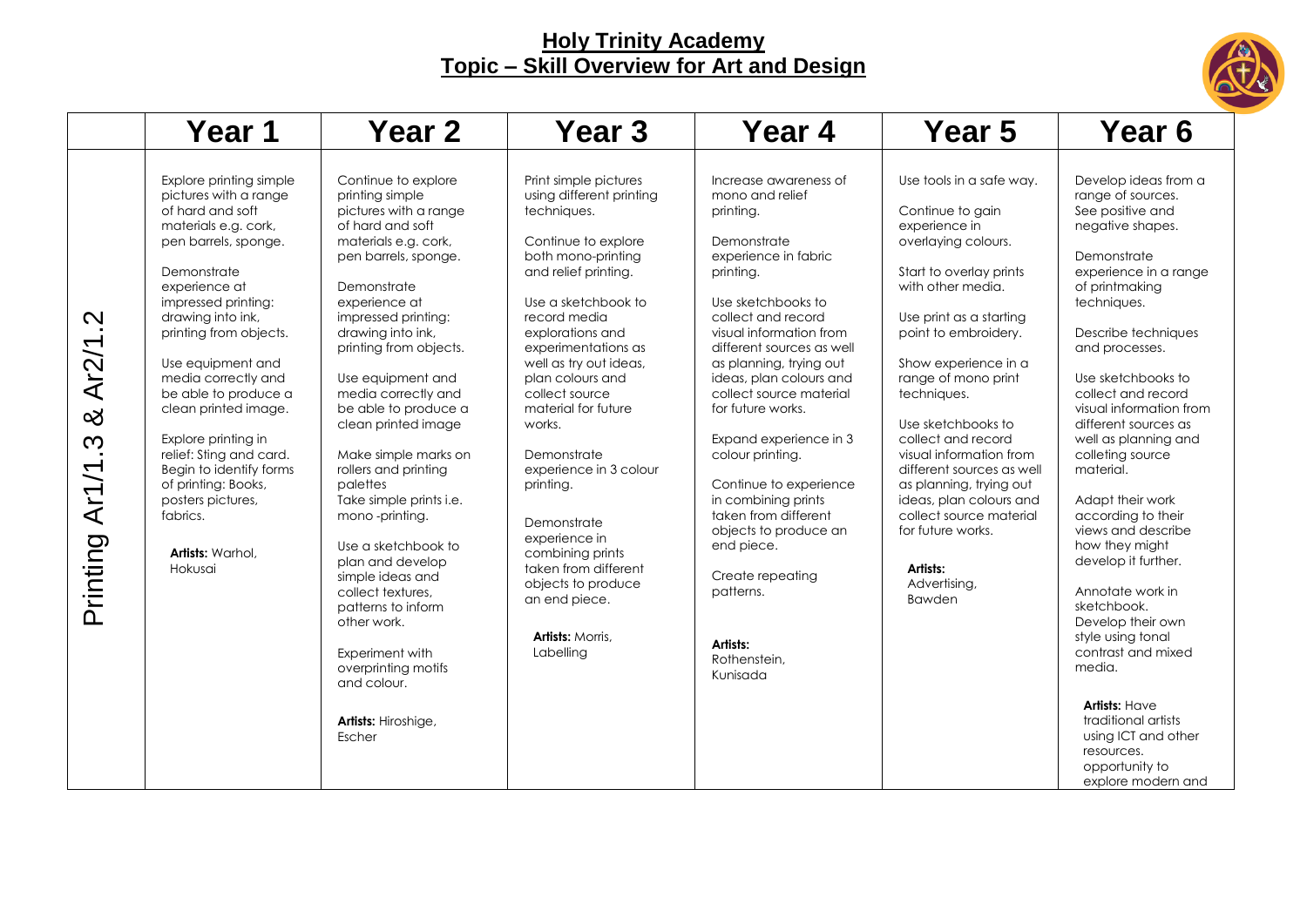

|                                        | Year 1                                                                                                                                                                                                                                                                                                                                                                                                                                                                                     | Year <sub>2</sub>                                                                                                                                                                                                                                                                                                                                                                                                                                                                                                                                                                                                                                                | Year <sub>3</sub>                                                                                                                                                                                                                                                                                                                                                                                                                                                                                                                  | Year 4                                                                                                                                                                                                                                                                                                                                                                                                                                                                                                                                                     | Year 5                                                                                                                                                                                                                                                                                                                                                                                                                                                                                                | Year <sub>6</sub>                                                                                                                                                                                                                                                                                                                                                                                                                                                                                                                                                                                                                                                                                             |
|----------------------------------------|--------------------------------------------------------------------------------------------------------------------------------------------------------------------------------------------------------------------------------------------------------------------------------------------------------------------------------------------------------------------------------------------------------------------------------------------------------------------------------------------|------------------------------------------------------------------------------------------------------------------------------------------------------------------------------------------------------------------------------------------------------------------------------------------------------------------------------------------------------------------------------------------------------------------------------------------------------------------------------------------------------------------------------------------------------------------------------------------------------------------------------------------------------------------|------------------------------------------------------------------------------------------------------------------------------------------------------------------------------------------------------------------------------------------------------------------------------------------------------------------------------------------------------------------------------------------------------------------------------------------------------------------------------------------------------------------------------------|------------------------------------------------------------------------------------------------------------------------------------------------------------------------------------------------------------------------------------------------------------------------------------------------------------------------------------------------------------------------------------------------------------------------------------------------------------------------------------------------------------------------------------------------------------|-------------------------------------------------------------------------------------------------------------------------------------------------------------------------------------------------------------------------------------------------------------------------------------------------------------------------------------------------------------------------------------------------------------------------------------------------------------------------------------------------------|---------------------------------------------------------------------------------------------------------------------------------------------------------------------------------------------------------------------------------------------------------------------------------------------------------------------------------------------------------------------------------------------------------------------------------------------------------------------------------------------------------------------------------------------------------------------------------------------------------------------------------------------------------------------------------------------------------------|
| Ņ<br>Ar2/1<br>య<br>Ar1/1.3<br>Printing | Explore printing simple<br>pictures with a range<br>of hard and soft<br>materials e.g. cork,<br>pen barrels, sponge.<br>Demonstrate<br>experience at<br>impressed printing:<br>drawing into ink,<br>printing from objects.<br>Use equipment and<br>media correctly and<br>be able to produce a<br>clean printed image.<br>Explore printing in<br>relief: Sting and card.<br>Begin to identify forms<br>of printing: Books,<br>posters pictures,<br>fabrics.<br>Artists: Warhol,<br>Hokusai | Continue to explore<br>printing simple<br>pictures with a range<br>of hard and soft<br>materials e.g. cork,<br>pen barrels, sponge.<br>Demonstrate<br>experience at<br>impressed printing:<br>drawing into ink,<br>printing from objects.<br>Use equipment and<br>media correctly and<br>be able to produce a<br>clean printed image<br>Make simple marks on<br>rollers and printing<br>palettes<br>Take simple prints i.e.<br>mono-printing.<br>Use a sketchbook to<br>plan and develop<br>simple ideas and<br>collect textures.<br>patterns to inform<br>other work.<br>Experiment with<br>overprinting motifs<br>and colour.<br>Artists: Hiroshige,<br>Escher | Print simple pictures<br>using different printing<br>techniques.<br>Continue to explore<br>both mono-printing<br>and relief printing.<br>Use a sketchbook to<br>record media<br>explorations and<br>experimentations as<br>well as try out ideas,<br>plan colours and<br>collect source<br>material for future<br>works.<br>Demonstrate<br>experience in 3 colour<br>printing.<br>Demonstrate<br>experience in<br>combining prints<br>taken from different<br>objects to produce<br>an end piece.<br>Artists: Morris,<br>Labelling | Increase awareness of<br>mono and relief<br>printing.<br>Demonstrate<br>experience in fabric<br>printing.<br>Use sketchbooks to<br>collect and record<br>visual information from<br>different sources as well<br>as planning, trying out<br>ideas, plan colours and<br>collect source material<br>for future works.<br>Expand experience in 3<br>colour printing.<br>Continue to experience<br>in combining prints<br>taken from different<br>objects to produce an<br>end piece.<br>Create repeating<br>patterns.<br>Artists:<br>Rothenstein,<br>Kunisada | Use tools in a safe way.<br>Continue to gain<br>experience in<br>overlaying colours.<br>Start to overlay prints<br>with other media.<br>Use print as a starting<br>point to embroidery.<br>Show experience in a<br>range of mono print<br>techniques.<br>Use sketchbooks to<br>collect and record<br>visual information from<br>different sources as well<br>as planning, trying out<br>ideas, plan colours and<br>collect source material<br>for future works.<br>Artists:<br>Advertising,<br>Bawden | Develop ideas from a<br>range of sources.<br>See positive and<br>negative shapes.<br>Demonstrate<br>experience in a range<br>of printmaking<br>techniques.<br>Describe techniques<br>and processes.<br>Use sketchbooks to<br>collect and record<br>visual information from<br>different sources as<br>well as planning and<br>colleting source<br>material.<br>Adapt their work<br>according to their<br>views and describe<br>how they might<br>develop it further.<br>Annotate work in<br>sketchbook.<br>Develop their own<br>style using tonal<br>contrast and mixed<br>media.<br><b>Artists: Have</b><br>traditional artists<br>using ICT and other<br>resources.<br>opportunity to<br>explore modern and |